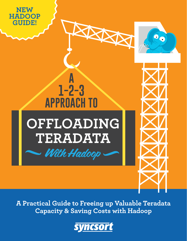

**A Practical Guide to Freeing up Valuable Teradata Capacity & Saving Costs with Hadoop**

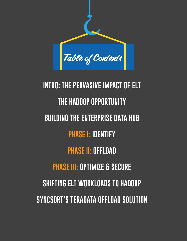

**INTRO: THE PERVASIVE IMPACT OF ELT THE HADOOP OPPORTUNITY BUILDING THE ENTERPRISE DATA HUB PHASE I: IDENTIFY PHASE II: OFFLOAD PHASE III: OPTIMIZE & SECURE SHIFTING ELT WORKLOADS TO HADOOP SYNCSORT'S TERADATA OFFLOAD SOLUTION**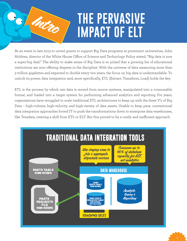# **THE PERVASIVE IMPACT OF ELT**

At an event in late 2013 to unveil grants to support Big Data programs at prominent universities, John Holdren, director of the White House Office of Science and Technology Policy stated, "Big data is now a super-big deal." The ability to make sense of Big Data is so prized that a growing list of educational institutions are now offering degrees in the discipline. With the universe of data measuring more than 3 trillion gigabytes and expected to double every two years, the focus on big data is understandable. To unlock its power, data integration and, more specifically, ETL (Extract, Transform, Load) holds the key.

Intro

ETL is the process by which raw data is moved from source systems, manipulated into a consumable format, and loaded into a target system for performing advanced analytics and reporting. For years, organizations have struggled to scale traditional ETL architectures to keep up with the three V's of Big Data – high-volume, high-velocity, and high-variety of data assets. Unable to keep pace, conventional data integration approaches forced IT to push the transformations down to enterprise data warehouses, like Teradata, creating a shift from ETL to ELT. But this proved to be a costly and inefficient approach.

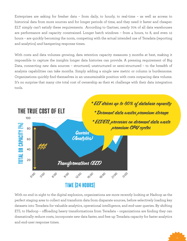Enterprises are asking for fresher data – from daily, to hourly, to real-time – as well as access to historical data from more sources and for longer periods of time, and they need it faster and cheaper. ELT simply can't satisfy these requirements. According to Gartner, nearly 70% of all data warehouses are performance and capacity constrained. Longer batch windows – from 4 hours, to 8, and even 12 hours – are quickly becoming the norm, competing with the actual intended use of Teradata (reporting and analytics) and hampering response times.

With costs and data volumes growing, data retention capacity measures 3 months at best, making it impossible to capture the insights longer data histories can provide. A pressing requirement of Big Data, connecting new data sources – structured, unstructured or semi-structured – to the breadth of analysis capabilities can take months. Simply adding a single new metric or column is burdensome. Organizations quickly find themselves in an unsustainable position with costs outpacing data volume. It's no surprise that many cite total cost of ownership as their #1 challenge with their data integration tools.



With no end in sight to the digital explosion, organizations are more recently looking at Hadoop as the perfect staging area to collect and transform data from disparate sources, before selectively loading key datasets into Teradata for valuable analytics, operational intelligence, and end-user queries. By shifting ETL to Hadoop – offloading heavy transformations from Teradata – organizations are finding they can dramatically reduce costs, incorporate new data faster, and free up Teradata capacity for faster analytics and end-user response times.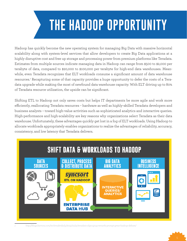# **THE HADOOP OPPORTUNITY**

Hadoop has quickly become the new operating system for managing Big Data with massive horizontal scalability along with system-level services that allow developers to create Big Data applications at a highly disruptive cost and free up storage and processing power from premium platforms like Teradata. Estimates from multiple sources indicate managing data in Hadoop can range from \$500 to \$2,000 per terabyte of data, compared to \$20,000 to \$100,000 per terabyte for high-end data warehouses. Meanwhile, even Teradata recognizes that ELT workloads consume a significant amount of data warehouse resources.<sup>1</sup> Recapturing some of that capacity provides a huge opportunity to defer the costs of a Teradata upgrade while making the most of newfound data warehouse capacity. With ELT driving up to 80% of Teradata resource utilization, the upside can be significant.

Shifting ETL to Hadoop not only saves costs but helps IT departments be more agile and work more efficiently, reallocating Teradata resources – hardware as well as highly-skilled Teradata developers and business analysts – toward high-value activities such as sophisticated analytics and interactive queries. High-performance and high-scalability are key reasons why organizations select Teradata as their data warehouse. Unfortunately, these advantages quickly get lost in a fog of ELT workloads. Using Hadoop to allocate workloads appropriately enables organizations to realize the advantages of reliability, accuracy, consistency, and low latency that Teradata delivers.



*1 http://blogs.barrons.com/techtraderdaily/2013/10/31/teradata-slips-q3-q4-remarks-prompt-great-hadoop-debate/*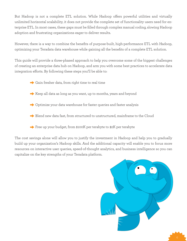But Hadoop is not a complete ETL solution. While Hadoop offers powerful utilities and virtually unlimited horizontal scalability, it does not provide the complete set of functionality users need for enterprise ETL. In most cases, these gaps must be filled through complex manual coding, slowing Hadoop adoption and frustrating organizations eager to deliver results.

However, there is a way to combine the benefits of purpose-built, high-performance ETL with Hadoop, optimizing your Teradata data warehouse while gaining all the benefits of a complete ETL solution.

This guide will provide a three-phased approach to help you overcome some of the biggest challenges of creating an enterprise data hub on Hadoop, and arm you with some best practices to accelerate data integration efforts. By following these steps you'll be able to:

- → Gain fresher data, from right time to real time
- $\rightarrow$  Keep all data as long as you want, up to months, years and beyond
- → Optimize your data warehouse for faster queries and faster analysis
- → Blend new data fast, from structured to unstructured, mainframe to the Cloud
- →Free up your budget, from \$100K per terabyte to \$2K per terabyte

The cost savings alone will allow you to justify the investment in Hadoop and help you to gradually build up your organization's Hadoop skills. And the additional capacity will enable you to focus more resources on interactive user queries, speed-of-thought analytics, and business intelligence so you can capitalize on the key strengths of your Teradata platform.

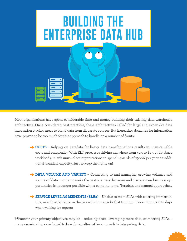

Most organizations have spent considerable time and money building their existing data warehouse architecture. Once considered best practices, these architectures called for large and expensive data integration staging areas to blend data from disparate sources. But increasing demands for information have proven to be too much for this approach to handle on a number of fronts:

- → **COSTS** Relying on Teradata for heavy data transformations results in unsustainable costs and complexity. With ELT processes driving anywhere from 40% to 80% of database workloads, it isn't unusual for organizations to spend upwards of \$500K per year on additional Teradata capacity…just to keep the lights on!
- → **DATA VOLUME AND VARIETY** Connecting to and managing growing volumes and sources of data in order to make the best business decisions and discover new business opportunities is no longer possible with a combination of Teradata and manual approaches.
- →**SERVICE LEVEL AGREEMENTS (SLAs)** Unable to meet SLAs with existing infrastructure, user frustration is on the rise with bottlenecks that turn minutes and hours into days when waiting for reports.

Whatever your primary objectives may be - reducing costs, leveraging more data, or meeting SLAs many organizations are forced to look for an alternative approach to integrating data.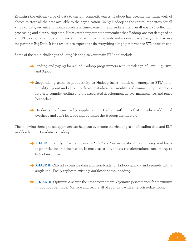Realizing the critical value of data to sustain competitiveness, Hadoop has become the framework of choice to store all the data available to the organization. Using Hadoop as the central repository for all kinds of data, organizations can accelerate time-to-insight and reduce the overall costs of collecting, processing and distributing data. However it's important to remember that Hadoop was not designed as an ETL tool but as an operating system that, with the right tools and approach, enables you to harness the power of Big Data. It isn't realistic to expect it to do everything a high-performance ETL solution can.

Some of the main challenges of using Hadoop as your main ETL tool include:

- →Finding and paying for skilled Hadoop programmers with knowledge of Java, Pig, Hive, and Sqoop
- →Jeopardizing gains in productivity as Hadoop lacks traditional "enterprise ETL" functionality – point and click interfaces, metadata, re-usability, and connectivity – forcing a return to complex coding and the associated development delays, maintenance, and reuse headaches
- → Hindering performance by supplementing Hadoop with tools that introduce additional overhead and can't leverage and optimize the Hadoop architecture

The following three-phased approach can help you overcome the challenges of offloading data and ELT workloads from Teradata to Hadoop:

- →**PHASE I:** Identify infrequently used "cold" and "warm" data. Pinpoint heavy workloads to prioritize for transformation. In most cases 20% of data transformations consume up to 80% of resources.
- → PHASE II: Offload expensive data and workloads to Hadoop quickly and securely with a single tool. Easily replicate existing workloads without coding.
- →**PHASE III:** Optimize & secure the new environment. Optimize performance for maximum throughput per node. Manage and secure all of your data with enterprise-class tools.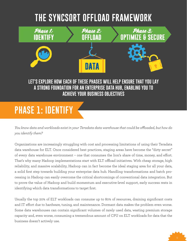### **THE SYNCSORT OFFLOAD FRAMEWORK**



#### **LET'S EXPLORE HOW EACH OF THESE PHASES WILL HELP ENSURE THAT YOU LAY A STRONG FOUNDATION FOR AN ENTERPRISE DATA HUB, ENABLING YOU TO ACHIEVE YOUR BUSINESS OBJECTIVES**

### **PHASE 1: IDENTIFY**

*You know data and workloads exist in your Teradata data warehouse that could be offloaded, but how do you identify them?*

Organizations are increasingly struggling with cost and processing limitations of using their Teradata data warehouse for ELT. Once considered best practices, staging areas have become the "dirty secret" of every data warehouse environment – one that consumes the lion's share of time, money, and effort. That's why many Hadoop implementations start with ELT offload initiatives. With cheap storage, high reliability, and massive scalability, Hadoop can in fact become the ideal staging area for all your data, a solid first step towards building your enterprise data hub. Handling transformations and batch processing in Hadoop can easily overcome the critical shortcomings of conventional data integration. But to prove the value of Hadoop and build momentum and executive-level support, early success rests in identifying which data transformations to target first.

Usually the top 20% of ELT workloads can consume up to 80% of resources, draining significant costs and IT effort due to hardware, tuning, and maintenance. Dormant data makes the problem even worse. Some data warehouses can contain significant volumes of rarely used data, wasting premium storage capacity and, even worse, consuming a tremendous amount of CPU on ELT workloads for data that the business doesn't actively use.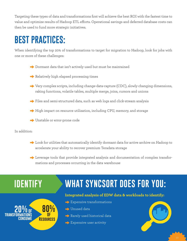Targeting these types of data and transformations first will achieve the best ROI with the fastest time to value and optimize results of Hadoop ETL efforts. Operational savings and deferred database costs can then be used to fund more strategic initiatives.

### **BEST PRACTICES:**

When identifying the top 20% of transformations to target for migration to Hadoop, look for jobs with one or more of these challenges:

- → Dormant data that isn't actively used but must be maintained
- → Relatively high elapsed processing times
- → Very complex scripts, including change-data-capture (CDC), slowly changing dimensions, raking functions, volatile tables, multiple merge, joins, cursors and unions
- →Files and semi-structured data, such as web logs and click-stream analysis
- → High impact on resource utilization, including CPU, memory, and storage
- → Unstable or error-prone code

In addition:

- →Look for utilities that automatically identify dormant data for active archive on Hadoop to accelerate your ability to recover premium Teradata storage
- →Leverage tools that provide integrated analysis and documentation of complex transformations and processes occurring in the data warehouse

#### **IDENTIFY WHAT SYNCSORT DOES FOR YOU:**

#### **80% Resources OF 20% OF transformations consume**

#### **Integrated analysis of EDW data & workloads to identify:**

- → Expensive transformations
- → Unused data
- → Rarely used historical data
- $\rightarrow$  Expensive user activity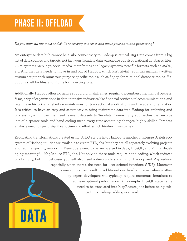## **PHASE II: OFFLOAD**

**MATA** 

#### *Do you have all the tools and skills necessary to access and move your data and processing?*

An enterprise data hub cannot be a silo; connectivity to Hadoop is critical. Big Data comes from a big list of data sources and targets, not just your Teradata data warehouse but also relational databases, files, CRM systems, web logs, social media, mainframes and legacy systems, new file formats such as JSON, etc. And that data needs to move in and out of Hadoop, which isn't trivial, requiring manually written custom scripts with numerous purpose-specific tools such as Sqoop for relational database tables, Hadoop fs shell for files, and Flume for ingesting logs.

Additionally, Hadoop offers no native support for mainframes, requiring a cumbersome, manual process. A majority of organizations in data-intensive industries like financial services, telecommunications, and retail have historically relied on mainframes for transactional applications and Teradata for analytics. It is critical to have an easy and secure way to bring mainframe data into Hadoop for archiving and processing, which can then feed relevant datasets to Teradata. Connectivity approaches that involve lots of disparate tools and hand coding mean every time something changes, highly-skilled Teradata analysts need to spend significant time and effort, which hinders time-to-insight.

Replicating transformations created using BTEQ scripts into Hadoop is another challenge. A rich ecosystem of Hadoop utilities are available to create ETL jobs, but they are all separately evolving projects and require specific, new skills. Developers need to be well-versed in Java, HiveQL, and Pig for developing meaningful MapReduce ETL jobs. Not only do these tools require hand coding, which reduces productivity, but in most cases you will also need a deep understanding of Hadoop and MapReduce, especially when there's the need for user-defined functions (UDF). Moreover, some scripts can result in additional overhead and even when written by expert developers will typically require numerous iterations to achieve optimal performance. For example, HiveQL statements need to be translated into MapReduce jobs before being submitted into Hadoop, adding overhead.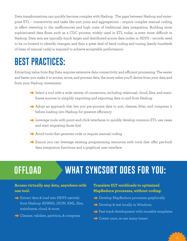Data transformations can quickly become complex with Hadoop. The gaps between Hadoop and enterprise ETL – connectivity and tasks like sort, joins and aggregations – require complex manual coding, in effect reverting to the inefficiencies and high costs of traditional data integration. Building more sophisticated data flows such as a CDC process, widely used in ETL today, is even more difficult in Hadoop. Data sets are typically much larger and distributed across data nodes in HDFS – records need to be co-located to identify changes; and then a great deal of hand coding and tuning (easily hundreds of lines of manual code) is required to achieve acceptable performance.

#### **BEST PRACTICES:**

Extracting value from Big Data requires extensive data connectivity and efficient processing. The easier and faster you make it to access, move, and process data, the more value you'll derive from your data and from your Hadoop investment.

- → Select a tool with a wide variety of connectors, including relational, cloud, files, and mainframe sources to simplify importing and exporting data to and from Hadoop
- → Adopt an approach that lets you pre-process data to sort, cleanse, filter, and compress it before loading into Hadoop for greatest efficiency
- →Leverage tools with point-and-click interfaces to quickly develop common ETL use cases and start migrating those first
- → Avoid tools that generate code or require manual coding
- → Ensure you can leverage existing programming resources with tools that offer pre-built data integration functions and a graphical user interface

### **OFFLOAD WHAT SYNCSORT DOES FOR YOU:**

#### **Access virtually any data, anywhere with one tool:**

- → Extract data & load into HDFS natively from Hadoop: RDBMS, JSON, XML, files, mainframe, cloud, & more
- → Cleanse, validate, partition, & compress

#### **Translate ELT workloads to optimized MapReduce processes, without coding:**

- → Develop MapReduce processes graphically
- → Develop & test locally in Windows
- →Fast-track development with reusable templates
- → Create once, re-use many times!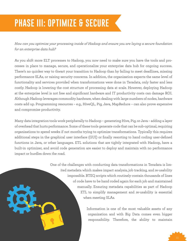## **PHASE III: OPTIMIZE & SECURE**

*How can you optimize your processing inside of Hadoop and ensure you are laying a secure foundation for an enterprise data hub?*

As you shift more ELT processes to Hadoop, you now need to make sure you have the tools and processes in place to manage, secure, and operationalize your enterprise data hub for ongoing success. There's no quicker way to thwart your transition to Hadoop than by failing to meet deadlines, missing performance SLAs, or raising security concerns. In addition, the organization expects the same level of functionality and services provided when transformations were done in Teradata, only faster and less costly. Hadoop is lowering the cost structure of processing data at scale. However, deploying Hadoop at the enterprise level is not free and significant hardware and IT productivity costs can damage ROI. Although Hadoop leverages commodity hardware, when dealing with large numbers of nodes, hardware costs add up. Programming resources – e.g., HiveQL, Pig, Java, MapReduce – can also prove expensive and compromise productivity.

Many data integration tools work peripherally to Hadoop – generating Hive, Pig, or Java – adding a layer of overhead that hurts performance. Some of these tools generate code that can be sub-optimal, requiring organizations to spend weeks if not months trying to optimize transformations. Typically this requires additional steps in the graphical user interface (GUI) or finally resorting to hand coding user-defined functions in Java, or other languages. ETL solutions that are tightly integrated with Hadoop, have a built-in optimizer, and avoid code generation are easier to deploy and maintain with no performance impact or hurdles down the road.

> One of the challenges with conducting data transformations in Teradata is limited metadata which makes impact analysis, job tracking, and re-usability impossible. BTEQ scripts which routinely contain thousands of lines of code have to be hand coded again for each job and maintained manually. Ensuring metadata capabilities as part of Hadoop ETL to simplify management and re-usability is essential when meeting SLAs.

> > Information is one of the most valuable assets of any organization and with Big Data comes even bigger responsibility. Therefore, the ability to maintain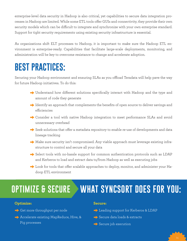enterprise-level data security in Hadoop is also critical, yet capabilities to secure data integration processes in Hadoop are limited. While some ETL tools offer GUIs and connectivity, they provide their own security models which can be difficult to integrate and synchronize with your own enterprise standard. Support for tight security requirements using existing security infrastructure is essential.

As organizations shift ELT processes to Hadoop, it is important to make sure the Hadoop ETL environment is enterprise-ready. Capabilities that facilitate large-scale deployments, monitoring, and administration will be key to overcome resistance to change and accelerate adoption.

#### **BEST PRACTICES:**

Securing your Hadoop environment and ensuring SLAs as you offload Teradata will help pave the way for future Hadoop initiatives. To do this:

- → Understand how different solutions specifically interact with Hadoop and the type and amount of code they generate
- →Identify an approach that complements the benefits of open source to deliver savings and efficiencies
- → Consider a tool with native Hadoop integration to meet performance SLAs and avoid unnecessary overhead
- →Seek solutions that offer a metadata repository to enable re-use of developments and data lineage tracking
- → Make sure security isn't compromised. Any viable approach must leverage existing infrastructure to control and secure all your data
- → Select tools with no-hassle support for common authentication protocols such as LDAP and Kerberos to load and extract data to/from Hadoop as well as executing jobs
- → Look for tools that offer scalable approaches to deploy, monitor, and administer your Hadoop ETL environment

### **OPTIMIZE & SECURE WHAT SYNCSORT DOES FOR YOU:**

#### **Optimize:**

- → Get more throughput per node
- → Accelerate existing MapReduce, Hive, & Pig processes

#### **Secure:**

- →Leading support for Kerberos & LDAP
- →Secure data loads & extracts
- $\rightarrow$  Secure job execution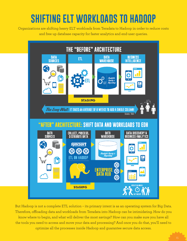## **SHIFTING ELT WORKLOADS TO HADOOP**

Organizations are shifting heavy ELT workloads from Teradata to Hadoop in order to reduce costs and free up database capacity for faster analytics and end-user queries.



But Hadoop is not a complete ETL solution – its primary intent is as an operating system for Big Data. Therefore, offloading data and workloads from Teradata into Hadoop can be intimidating. How do you know where to begin, and what will deliver the most savings? How can you make sure you have all the tools you need to access and move your data and processing? And once you do that, you'll need to optimize all the processes inside Hadoop and guarantee secure data access.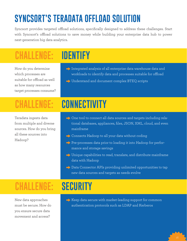## **SYNCSORT'S TERADATA OFFLOAD SOLUTION**

Syncsort provides targeted offload solutions, specifically designed to address these challenges. Start with Syncsort's offload solutions to save money while building your enterprise data hub to power next-generation big data analytics.

## **CHALLENGE: IDENTIFY**

How do you determine which processes are suitable for offload as well as how many resources target processes consume?

- →Integrated analysis of all enterprise data warehouse data and workloads to identify data and processes suitable for offload
- → Understand and document complex BTEQ scripts

Teradata ingests data from multiple and diverse sources. How do you bring all these sources into Hadoop?

## **CHALLENGE: CONNECTIVITY**

- → One tool to connect all data sources and targets including relational databases, appliances, files, JSON, XML, cloud, and even mainframe
- → Connects Hadoop to all your data without coding
- →Pre-processes data prior to loading it into Hadoop for performance and storage savings
- → Unique capabilities to read, translate, and distribute mainframe data with Hadoop
- → Data Connector APIs providing unlimited opportunities to tap new data sources and targets as needs evolve

## **CHALLENGE: SECURITY**

New data approaches must be secure. How do you ensure secure data movement and access?

→ Keep data secure with market-leading support for common authentication protocols such as LDAP and Kerberos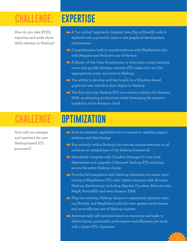### **CHALLENGE: EXPERTISE**

How do you take BTEQ expertise and make those skills relevant in Hadoop?

- → A "no coding" approach; complex Java, Pig or HiveQL code is replaced with a powerful, easy-to-use graphical development environment
- → Comprehensive built-in transformations with MapReduce jobs with Mappers and Reducers out-of-the-box
- → A library of Use Case Accelerators to overcome a steep learning curve and quickly develop common ETL tasks such as CDC, aggregations, joins, and more in Hadoop
- → The ability to develop and test locally in a Windows-based graphical user interface, then deploy in Hadoop
- → The first and only Hadoop ETL-as-a-service solution for Amazon EMR, accelerating productivity while leveraging the massive scalability of the Amazon cloud

How will you manage and maintain the new Hadoop-based ETL processes?

### **CHALLENGE: OPTIMIZATION**

- → Built-in metadata capabilities for increased re-usability, impact analysis, and data lineage
- $\rightarrow$  Run natively within Hadoop; the runtime engine executes on all nodes as an integral part of the Hadoop framework
- →Seamlessly integrate with Cloudera Manager for one-click deployment and upgrade of Syncsort Hadoop ETL solutions across the entire Hadoop cluster
- →Provide full integration with Hadoop Jobtracker for easier monitoring of MapReduce ETL jobs; tightly integrate with all major Hadoop distributions, including Apache, Cloudera, Hortonworks, MapR, PivotalHD and even Amazon EMR
- →Plug into existing Hadoop clusters to seamlessly optimize existing HiveQL and MapReduce jobs for even greater performance and more efficient use of Hadoop clusters
- → Automatically self-optimize based on resources and tasks to deliver faster, sustainable performance and efficiency per node with a Smart ETL Optimizer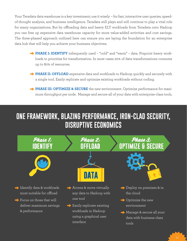Your Teradata data warehouse is a key investment; use it wisely – for fast, interactive user queries, speedof-thought analysis, and business intelligence. Teradata still plays and will continue to play a vital role for many organizations. But by offloading data and heavy ELT workloads from Teradata onto Hadoop you can free up expensive data warehouse capacity for more value-added activities and cost savings. The three-phased approach outlined here can ensure you are laying the foundation for an enterprise data hub that will help you achieve your business objectives.

- →**PHASE I: IDENTIFY** infrequently used "cold" and "warm" data. Pinpoint heavy workloads to prioritize for transformation. In most cases 20% of data transformations consume up to 80% of resources.
- → **PHASE II: OFFLOAD** expensive data and workloads to Hadoop quickly and securely with a single tool. Easily replicate and optimize existing workloads without coding.
- →**PHASE III: OPTIMIZE & SECURE** the new environment. Optimize performance for maximum throughput per node. Manage and secure all of your data with enterprise-class tools.

#### **ONE FRAMEWORK, BLAZING PERFORMANCE, IRON-CLAD SECURITY, DISRUPTIVE ECONOMICS**